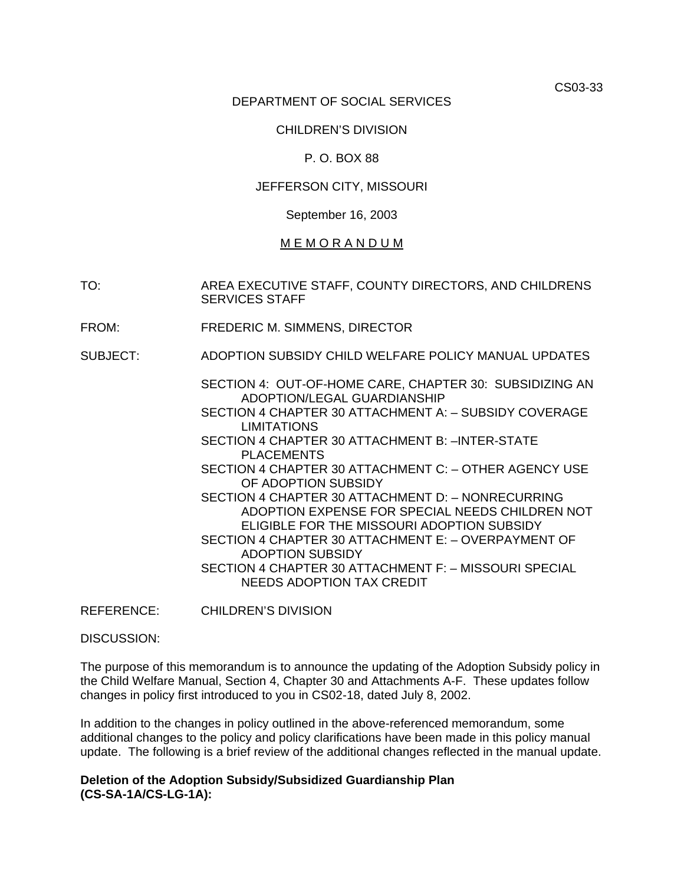CS03-33

#### DEPARTMENT OF SOCIAL SERVICES

#### CHILDREN'S DIVISION

#### P. O. BOX 88

### JEFFERSON CITY, MISSOURI

#### September 16, 2003

### M E M O R A N D U M

TO: AREA EXECUTIVE STAFF, COUNTY DIRECTORS, AND CHILDRENS SERVICES STAFF

- FROM: FREDERIC M. SIMMENS, DIRECTOR
- SUBJECT: ADOPTION SUBSIDY CHILD WELFARE POLICY MANUAL UPDATES
	- [SECTION 4: OUT-OF-HOME CARE, CHAPTER 30:](http://dss.missouri.gov/cd/info/cwman/sec4/ch30/overview.shtml) SUBSIDIZING AN ADOPTION/LEGAL GUARDIANSHIP
	- [SECTION 4 CHAPTER 30 ATTACHMENT A:](http://dss.missouri.gov/cd/info/cwman/sec4/ch30/4_30_a.shtml)  SUBSIDY COVERAGE LIMITATIONS
	- [SECTION 4 CHAPTER 30 ATTACHMENT B:](http://dss.missouri.gov/cd/info/cwman/sec4/ch30/4_30_b.shtml) –INTER-STATE PLACEMENTS
	- [SECTION 4 CHAPTER 30 ATTACHMENT C:](http://dss.missouri.gov/cd/info/cwman/sec4/ch30/4_30_c.shtml) OTHER AGENCY USE OF ADOPTION SUBSIDY
	- [SECTION 4 CHAPTER 30 ATTACHMENT D:](http://dss.missouri.gov/cd/info/cwman/sec4/ch30/4_30_d.shtml) NONRECURRING ADOPTION EXPENSE FOR SPECIAL NEEDS CHILDREN NOT ELIGIBLE FOR THE MISSOURI ADOPTION SUBSIDY [SECTION 4 CHAPTER 30 ATTACHMENT E:](http://dss.missouri.gov/cd/info/cwman/sec4/ch30/4_30_e.shtml) – OVERPAYMENT OF
	- ADOPTION SUBSIDY [SECTION 4 CHAPTER 30 ATTACHMENT F:](http://dss.missouri.gov/cd/info/cwman/sec4/ch30/4_30_f.shtml) – MISSOURI SPECIAL NEEDS ADOPTION TAX CREDIT
- REFERENCE: CHILDREN'S DIVISION

DISCUSSION:

The purpose of this memorandum is to announce the updating of the Adoption Subsidy policy in the Child Welfare Manual, Section 4, Chapter 30 and Attachments A-F. These updates follow changes in policy first introduced to you in CS02-18, dated July 8, 2002.

In addition to the changes in policy outlined in the above-referenced memorandum, some additional changes to the policy and policy clarifications have been made in this policy manual update. The following is a brief review of the additional changes reflected in the manual update.

#### **Deletion of the Adoption Subsidy/Subsidized Guardianship Plan (CS-SA-1A/CS-LG-1A):**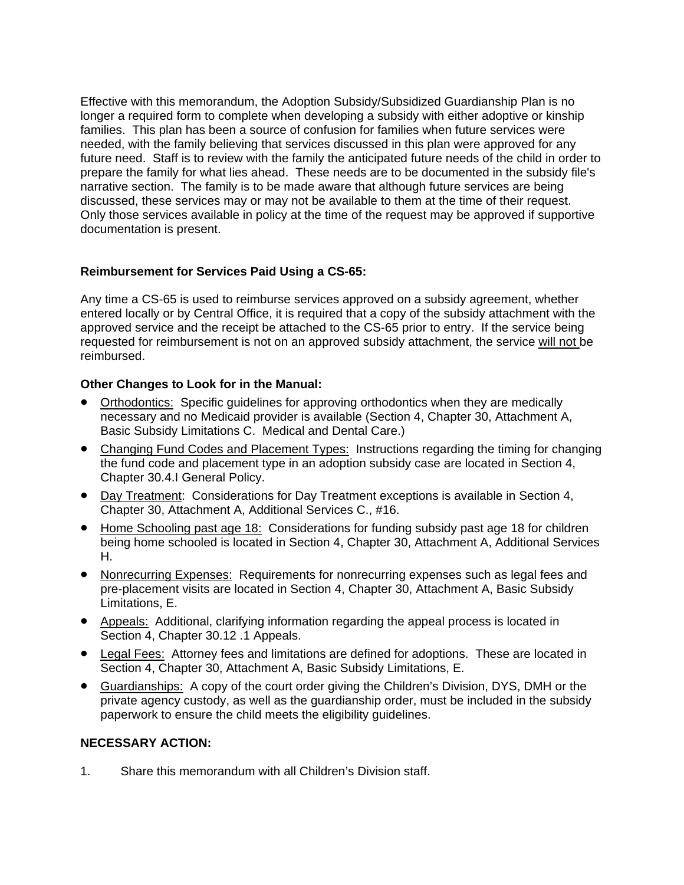Effective with this memorandum, the Adoption Subsidy/Subsidized Guardianship Plan is no longer a required form to complete when developing a subsidy with either adoptive or kinship families. This plan has been a source of confusion for families when future services were needed, with the family believing that services discussed in this plan were approved for any future need. Staff is to review with the family the anticipated future needs of the child in order to prepare the family for what lies ahead. These needs are to be documented in the subsidy file's narrative section. The family is to be made aware that although future services are being discussed, these services may or may not be available to them at the time of their request. Only those services available in policy at the time of the request may be approved if supportive documentation is present.

# **Reimbursement for Services Paid Using a CS-65:**

Any time a CS-65 is used to reimburse services approved on a subsidy agreement, whether entered locally or by Central Office, it is required that a copy of the subsidy attachment with the approved service and the receipt be attached to the CS-65 prior to entry. If the service being requested for reimbursement is not on an approved subsidy attachment, the service will not be reimbursed.

## **Other Changes to Look for in the Manual:**

- Orthodontics: Specific guidelines for approving orthodontics when they are medically necessary and no Medicaid provider is available (Section 4, Chapter 30, Attachment A, Basic Subsidy Limitations C. Medical and Dental Care.)
- Changing Fund Codes and Placement Types: Instructions regarding the timing for changing the fund code and placement type in an adoption subsidy case are located in Section 4, Chapter 30.4.I General Policy.
- Day Treatment: Considerations for Day Treatment exceptions is available in Section 4, Chapter 30, Attachment A, Additional Services C., #16.
- Home Schooling past age 18: Considerations for funding subsidy past age 18 for children being home schooled is located in Section 4, Chapter 30, Attachment A, Additional Services H.
- Nonrecurring Expenses: Requirements for nonrecurring expenses such as legal fees and pre-placement visits are located in Section 4, Chapter 30, Attachment A, Basic Subsidy Limitations, E.
- Appeals: Additional, clarifying information regarding the appeal process is located in Section 4, Chapter 30.12 .1 Appeals.
- Legal Fees: Attorney fees and limitations are defined for adoptions. These are located in Section 4, Chapter 30, Attachment A, Basic Subsidy Limitations, E.
- Guardianships: A copy of the court order giving the Children's Division, DYS, DMH or the private agency custody, as well as the guardianship order, must be included in the subsidy paperwork to ensure the child meets the eligibility guidelines.

## **NECESSARY ACTION:**

1. Share this memorandum with all Children's Division staff.